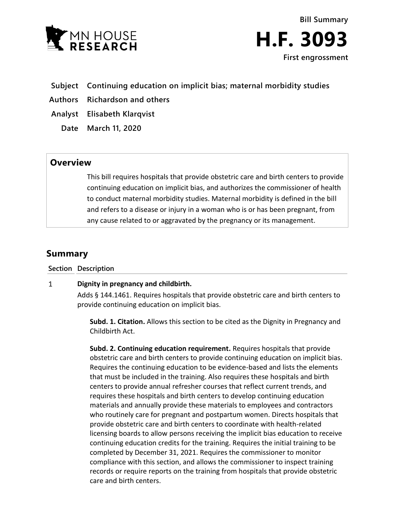

**Bill Summary H.F. 3093 First engrossment**

- **Subject Continuing education on implicit bias; maternal morbidity studies**
- **Authors Richardson and others**
- **Analyst Elisabeth Klarqvist**
	- **Date March 11, 2020**

## **Overview**

This bill requires hospitals that provide obstetric care and birth centers to provide continuing education on implicit bias, and authorizes the commissioner of health to conduct maternal morbidity studies. Maternal morbidity is defined in the bill and refers to a disease or injury in a woman who is or has been pregnant, from any cause related to or aggravated by the pregnancy or its management.

# **Summary**

**Section Description**

#### $\mathbf{1}$ **Dignity in pregnancy and childbirth.**

Adds § 144.1461. Requires hospitals that provide obstetric care and birth centers to provide continuing education on implicit bias.

**Subd. 1. Citation.** Allows this section to be cited as the Dignity in Pregnancy and Childbirth Act.

**Subd. 2. Continuing education requirement.** Requires hospitals that provide obstetric care and birth centers to provide continuing education on implicit bias. Requires the continuing education to be evidence-based and lists the elements that must be included in the training. Also requires these hospitals and birth centers to provide annual refresher courses that reflect current trends, and requires these hospitals and birth centers to develop continuing education materials and annually provide these materials to employees and contractors who routinely care for pregnant and postpartum women. Directs hospitals that provide obstetric care and birth centers to coordinate with health-related licensing boards to allow persons receiving the implicit bias education to receive continuing education credits for the training. Requires the initial training to be completed by December 31, 2021. Requires the commissioner to monitor compliance with this section, and allows the commissioner to inspect training records or require reports on the training from hospitals that provide obstetric care and birth centers.